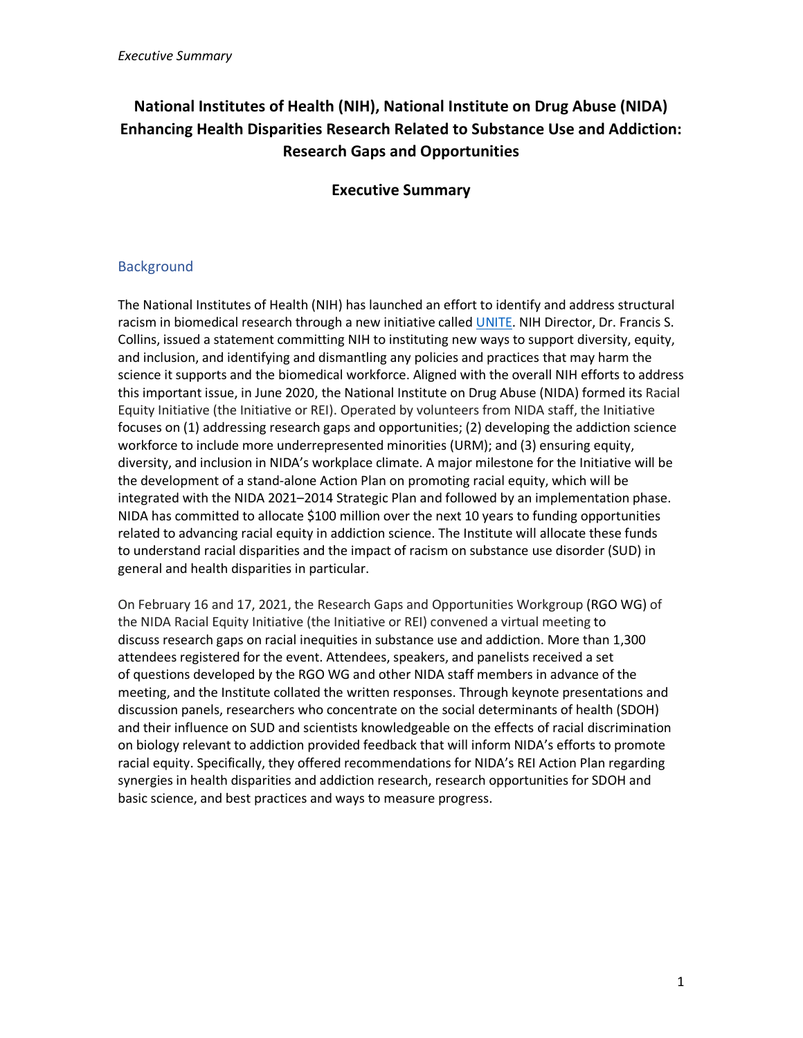# **National Institutes of Health (NIH), National Institute on Drug Abuse (NIDA) Enhancing Health Disparities Research Related to Substance Use and Addiction: Research Gaps and Opportunities**

# **Executive Summary**

## Background

The National Institutes of Health (NIH) has launched an effort to identify and address structural racism in biomedical research through a new initiative called [UNITE.](https://www.nih.gov/ending-structural-racism/unite) NIH Director, Dr. Francis S. Collins, issued a statement committing NIH to instituting new ways to support diversity, equity, and inclusion, and identifying and dismantling any policies and practices that may harm the science it supports and the biomedical workforce. Aligned with the overall NIH efforts to address this important issue, in June 2020, the National Institute on Drug Abuse (NIDA) formed its Racial Equity Initiative (the Initiative or REI). Operated by volunteers from NIDA staff, the Initiative focuses on (1) addressing research gaps and opportunities; (2) developing the addiction science workforce to include more underrepresented minorities (URM); and (3) ensuring equity, diversity, and inclusion in NIDA's workplace climate. A major milestone for the Initiative will be the development of a stand-alone Action Plan on promoting racial equity, which will be integrated with the NIDA 2021–2014 Strategic Plan and followed by an implementation phase. NIDA has committed to allocate \$100 million over the next 10 years to funding opportunities related to advancing racial equity in addiction science. The Institute will allocate these funds to understand racial disparities and the impact of racism on substance use disorder (SUD) in general and health disparities in particular.

On February 16 and 17, 2021, the Research Gaps and Opportunities Workgroup (RGO WG) of the NIDA Racial Equity Initiative (the Initiative or REI) convened a virtual meeting to discuss research gaps on racial inequities in substance use and addiction. More than 1,300 attendees registered for the event. Attendees, speakers, and panelists received a set of questions developed by the RGO WG and other NIDA staff members in advance of the meeting, and the Institute collated the written responses. Through keynote presentations and discussion panels, researchers who concentrate on the social determinants of health (SDOH) and their influence on SUD and scientists knowledgeable on the effects of racial discrimination on biology relevant to addiction provided feedback that will inform NIDA's efforts to promote racial equity. Specifically, they offered recommendations for NIDA's REI Action Plan regarding synergies in health disparities and addiction research, research opportunities for SDOH and basic science, and best practices and ways to measure progress.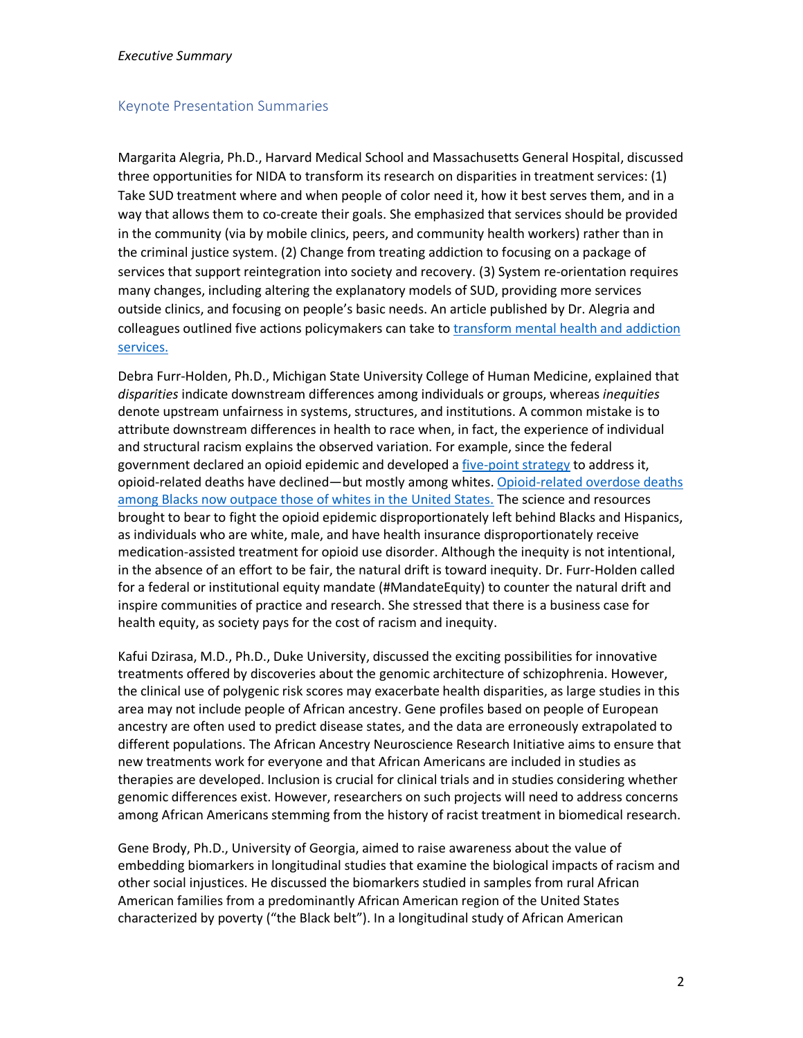#### *Executive Summary*

#### Keynote Presentation Summaries

Margarita Alegria, Ph.D., Harvard Medical School and Massachusetts General Hospital, discussed three opportunities for NIDA to transform its research on disparities in treatment services: (1) Take SUD treatment where and when people of color need it, how it best serves them, and in a way that allows them to co-create their goals. She emphasized that services should be provided in the community (via by mobile clinics, peers, and community health workers) rather than in the criminal justice system. (2) Change from treating addiction to focusing on a package of services that support reintegration into society and recovery. (3) System re-orientation requires many changes, including altering the explanatory models of SUD, providing more services outside clinics, and focusing on people's basic needs. An article published by Dr. Alegria and [colleagues outlined five actions policymakers can take to transform mental health and addiction](https://www.healthaffairs.org/doi/full/10.1377/hlthaff.2020.01472?utm_term=alegria&utm_campaign=ahead+of+print&utm_medium=email&vgo_ee=KHFqvheLXW25TaU3KdFSdW5bLYWHkBN59qAWkCaB0g%2BL8u0%2BWBCfKIYwvb2riYN9&utm_content=vital+directions&utm_source=hasu)  services.

Debra Furr-Holden, Ph.D., Michigan State University College of Human Medicine, explained that *disparities* indicate downstream differences among individuals or groups, whereas *inequities* denote upstream unfairness in systems, structures, and institutions. A common mistake is to attribute downstream differences in health to race when, in fact, the experience of individual and structural racism explains the observed variation. For example, since the federal government declared an opioid epidemic and developed a [five-point strategy](https://www.hhs.gov/opioids/about-the-epidemic/hhs-response/index.html) to address it, [opioid-related deaths have declined—but mostly among whites.](https://pubmed.ncbi.nlm.nih.gov/32852864/) Opioid-related overdose deaths among Blacks now outpace those of whites in the United States. The science and resources brought to bear to fight the opioid epidemic disproportionately left behind Blacks and Hispanics, as individuals who are white, male, and have health insurance disproportionately receive medication-assisted treatment for opioid use disorder. Although the inequity is not intentional, in the absence of an effort to be fair, the natural drift is toward inequity. Dr. Furr-Holden called for a federal or institutional equity mandate (#MandateEquity) to counter the natural drift and inspire communities of practice and research. She stressed that there is a business case for health equity, as society pays for the cost of racism and inequity.

Kafui Dzirasa, M.D., Ph.D., Duke University, discussed the exciting possibilities for innovative treatments offered by discoveries about the genomic architecture of schizophrenia. However, the clinical use of polygenic risk scores may exacerbate health disparities, as large studies in this area may not include people of African ancestry. Gene profiles based on people of European ancestry are often used to predict disease states, and the data are erroneously extrapolated to different populations. The African Ancestry Neuroscience Research Initiative aims to ensure that new treatments work for everyone and that African Americans are included in studies as therapies are developed. Inclusion is crucial for clinical trials and in studies considering whether genomic differences exist. However, researchers on such projects will need to address concerns among African Americans stemming from the history of racist treatment in biomedical research.

Gene Brody, Ph.D., University of Georgia, aimed to raise awareness about the value of embedding biomarkers in longitudinal studies that examine the biological impacts of racism and other social injustices. He discussed the biomarkers studied in samples from rural African American families from a predominantly African American region of the United States characterized by poverty ("the Black belt"). In a longitudinal study of African American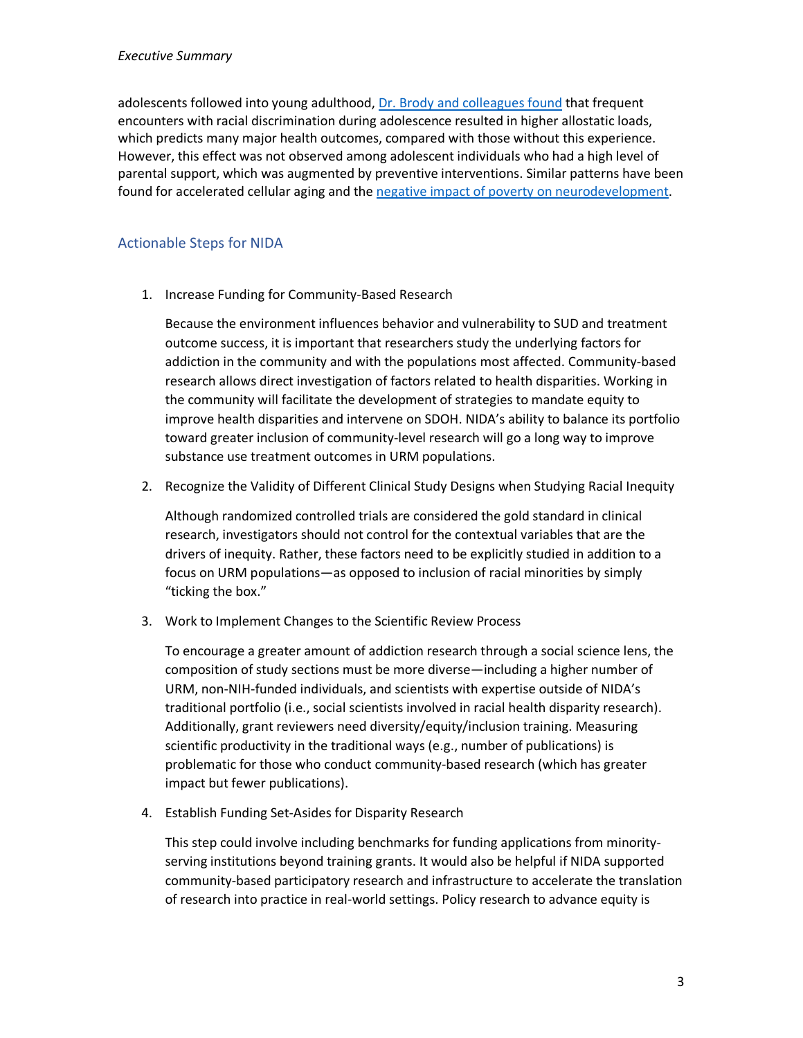adolescents followed into young adulthood, [Dr. Brody and colleagues found](https://pubmed.ncbi.nlm.nih.gov/24673162/) that frequent encounters with racial discrimination during adolescence resulted in higher allostatic loads, which predicts many major health outcomes, compared with those without this experience. However, this effect was not observed among adolescent individuals who had a high level of parental support, which was augmented by preventive interventions. Similar patterns have been found for accelerated cellular aging and the [negative impact of poverty on neurodevelopment.](https://pubmed.ncbi.nlm.nih.gov/27893880/)

### Actionable Steps for NIDA

1. Increase Funding for Community-Based Research

Because the environment influences behavior and vulnerability to SUD and treatment outcome success, it is important that researchers study the underlying factors for addiction in the community and with the populations most affected. Community-based research allows direct investigation of factors related to health disparities. Working in the community will facilitate the development of strategies to mandate equity to improve health disparities and intervene on SDOH. NIDA's ability to balance its portfolio toward greater inclusion of community-level research will go a long way to improve substance use treatment outcomes in URM populations.

2. Recognize the Validity of Different Clinical Study Designs when Studying Racial Inequity

Although randomized controlled trials are considered the gold standard in clinical research, investigators should not control for the contextual variables that are the drivers of inequity. Rather, these factors need to be explicitly studied in addition to a focus on URM populations—as opposed to inclusion of racial minorities by simply "ticking the box."

3. Work to Implement Changes to the Scientific Review Process

To encourage a greater amount of addiction research through a social science lens, the composition of study sections must be more diverse—including a higher number of URM, non-NIH-funded individuals, and scientists with expertise outside of NIDA's traditional portfolio (i.e., social scientists involved in racial health disparity research). Additionally, grant reviewers need diversity/equity/inclusion training. Measuring scientific productivity in the traditional ways (e.g., number of publications) is problematic for those who conduct community-based research (which has greater impact but fewer publications).

4. Establish Funding Set-Asides for Disparity Research

This step could involve including benchmarks for funding applications from minorityserving institutions beyond training grants. It would also be helpful if NIDA supported community-based participatory research and infrastructure to accelerate the translation of research into practice in real-world settings. Policy research to advance equity is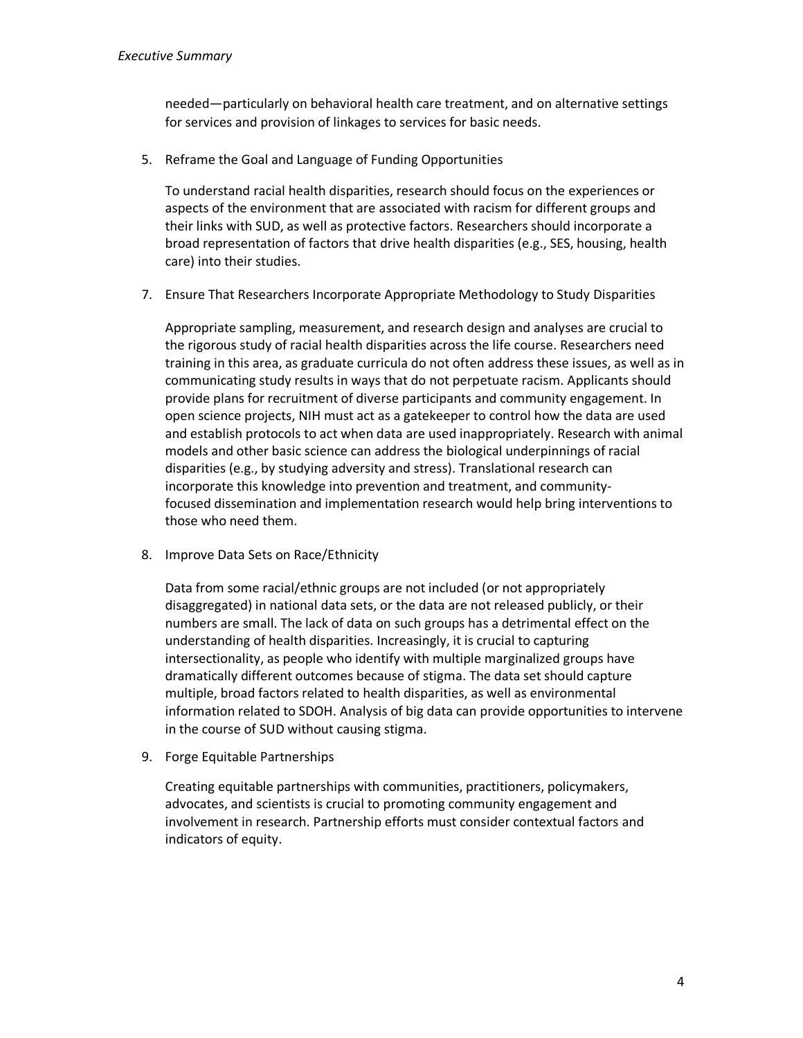needed—particularly on behavioral health care treatment, and on alternative settings for services and provision of linkages to services for basic needs.

5. Reframe the Goal and Language of Funding Opportunities

To understand racial health disparities, research should focus on the experiences or aspects of the environment that are associated with racism for different groups and their links with SUD, as well as protective factors. Researchers should incorporate a broad representation of factors that drive health disparities (e.g., SES, housing, health care) into their studies.

7. Ensure That Researchers Incorporate Appropriate Methodology to Study Disparities

Appropriate sampling, measurement, and research design and analyses are crucial to the rigorous study of racial health disparities across the life course. Researchers need training in this area, as graduate curricula do not often address these issues, as well as in communicating study results in ways that do not perpetuate racism. Applicants should provide plans for recruitment of diverse participants and community engagement. In open science projects, NIH must act as a gatekeeper to control how the data are used and establish protocols to act when data are used inappropriately. Research with animal models and other basic science can address the biological underpinnings of racial disparities (e.g., by studying adversity and stress). Translational research can incorporate this knowledge into prevention and treatment, and communityfocused dissemination and implementation research would help bring interventions to those who need them.

8. Improve Data Sets on Race/Ethnicity

Data from some racial/ethnic groups are not included (or not appropriately disaggregated) in national data sets, or the data are not released publicly, or their numbers are small. The lack of data on such groups has a detrimental effect on the understanding of health disparities. Increasingly, it is crucial to capturing intersectionality, as people who identify with multiple marginalized groups have dramatically different outcomes because of stigma. The data set should capture multiple, broad factors related to health disparities, as well as environmental information related to SDOH. Analysis of big data can provide opportunities to intervene in the course of SUD without causing stigma.

9. Forge Equitable Partnerships

Creating equitable partnerships with communities, practitioners, policymakers, advocates, and scientists is crucial to promoting community engagement and involvement in research. Partnership efforts must consider contextual factors and indicators of equity.